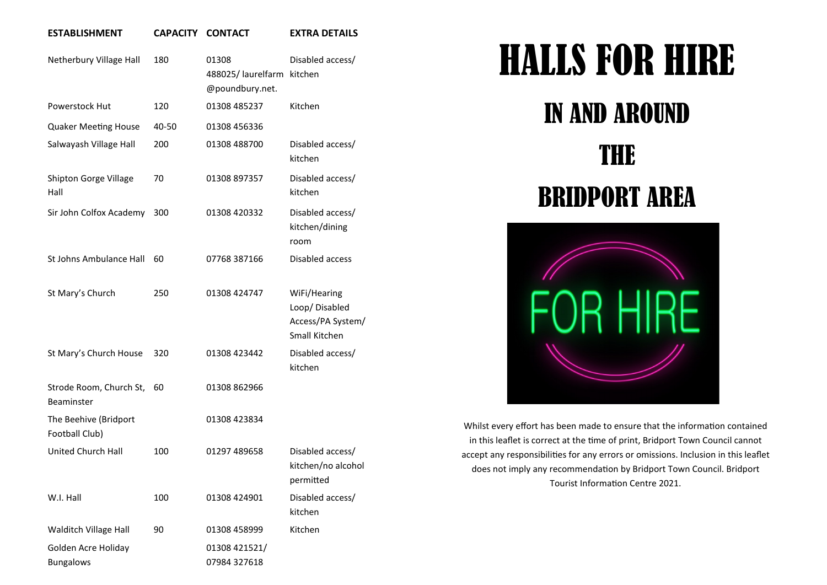## **ESTABLISHMENT CAPACITY CONTACT EXTRA DETAILS**

| Netherbury Village Hall                 | 180   | 01308<br>488025/laurelfarm<br>@poundbury.net. | Disabled access/<br>kitchen                                         |
|-----------------------------------------|-------|-----------------------------------------------|---------------------------------------------------------------------|
| Powerstock Hut                          | 120   | 01308 485237                                  | Kitchen                                                             |
| <b>Quaker Meeting House</b>             | 40-50 | 01308 456336                                  |                                                                     |
| Salwayash Village Hall                  | 200   | 01308 488700                                  | Disabled access/<br>kitchen                                         |
| Shipton Gorge Village<br>Hall           | 70    | 01308 897357                                  | Disabled access/<br>kitchen                                         |
| Sir John Colfox Academy                 | 300   | 01308 420332                                  | Disabled access/<br>kitchen/dining<br>room                          |
| <b>St Johns Ambulance Hall</b>          | 60    | 07768 387166                                  | Disabled access                                                     |
| St Mary's Church                        | 250   | 01308 424747                                  | WiFi/Hearing<br>Loop/Disabled<br>Access/PA System/<br>Small Kitchen |
| St Mary's Church House                  | 320   | 01308 423442                                  | Disabled access/<br>kitchen                                         |
| Strode Room, Church St,<br>Beaminster   | 60    | 01308 862966                                  |                                                                     |
| The Beehive (Bridport<br>Football Club) |       | 01308 423834                                  |                                                                     |
| <b>United Church Hall</b>               | 100   | 01297 489658                                  | Disabled access/<br>kitchen/no alcohol<br>permitted                 |
| W.I. Hall                               | 100   | 01308 424901                                  | Disabled access/<br>kitchen                                         |
| Walditch Village Hall                   | 90    | 01308 458999                                  | Kitchen                                                             |
| Golden Acre Holiday<br><b>Bungalows</b> |       | 01308 421521/<br>07984 327618                 |                                                                     |

## HALLS FOR HIRE

## IN AND AROUND

## THE BRIDPORT AREA



Whilst every effort has been made to ensure that the information contained in this leaflet is correct at the time of print, Bridport Town Council cannot accept any responsibilities for any errors or omissions. Inclusion in this leaflet does not imply any recommendation by Bridport Town Council. Bridport Tourist Information Centre 2021.